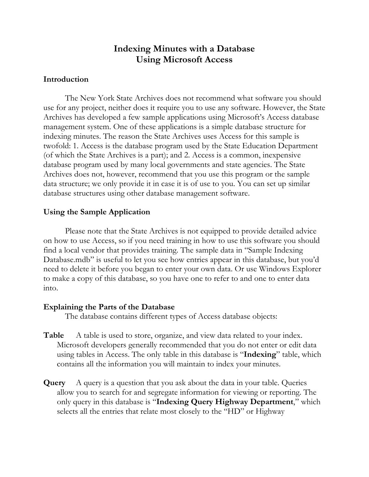# **Indexing Minutes with a Database Using Microsoft Access**

### **Introduction**

The New York State Archives does not recommend what software you should use for any project, neither does it require you to use any software. However, the State Archives has developed a few sample applications using Microsoft's Access database management system. One of these applications is a simple database structure for indexing minutes. The reason the State Archives uses Access for this sample is twofold: 1. Access is the database program used by the State Education Department (of which the State Archives is a part); and 2. Access is a common, inexpensive database program used by many local governments and state agencies. The State Archives does not, however, recommend that you use this program or the sample data structure; we only provide it in case it is of use to you. You can set up similar database structures using other database management software.

#### **Using the Sample Application**

Please note that the State Archives is not equipped to provide detailed advice on how to use Access, so if you need training in how to use this software you should find a local vendor that provides training. The sample data in "Sample Indexing Database.mdb" is useful to let you see how entries appear in this database, but you'd need to delete it before you began to enter your own data. Or use Windows Explorer to make a copy of this database, so you have one to refer to and one to enter data into.

#### **Explaining the Parts of the Database**

The database contains different types of Access database objects:

- Table A table is used to store, organize, and view data related to your index. Microsoft developers generally recommended that you do not enter or edit data using tables in Access. The only table in this database is "**Indexing**" table, which contains all the information you will maintain to index your minutes.
- **Query** A query is a question that you ask about the data in your table. Queries allow you to search for and segregate information for viewing or reporting. The only query in this database is "**Indexing Query Highway Department**," which selects all the entries that relate most closely to the "HD" or Highway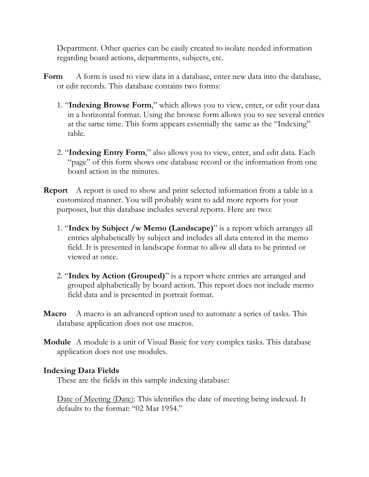Department. Other queries can be easily created to isolate needed information regarding board actions, departments, subjects, etc.

- **Form** A form is used to view data in a database, enter new data into the database, or edit records. This database contains two forms:
	- 1. "**Indexing Browse Form**," which allows you to view, enter, or edit your data in a horizontal format. Using the browse form allows you to see several entries at the same time. This form appears essentially the same as the "Indexing" table.
	- 2. "**Indexing Entry Form**," also allows you to view, enter, and edit data. Each "page" of this form shows one database record or the information from one board action in the minutes.
- **Report** A report is used to show and print selected information from a table in a customized manner. You will probably want to add more reports for your purposes, but this database includes several reports. Here are two:
	- 1. "**Index by Subject /w Memo (Landscape)**" is a report which arranges all entries alphabetically by subject and includes all data entered in the memo field. It is presented in landscape format to allow all data to be printed or viewed at once.
	- 2. "**Index by Action (Grouped)**" is a report where entries are arranged and grouped alphabetically by board action. This report does not include memo field data and is presented in portrait format.
- **Macro** A macro is an advanced option used to automate a series of tasks. This database application does not use macros.
- **Module** A module is a unit of Visual Basic for very complex tasks. This database application does not use modules.

## **Indexing Data Fields**

These are the fields in this sample indexing database:

Date of Meeting (Date): This identifies the date of meeting being indexed. It defaults to the format: "02 Mar 1954."